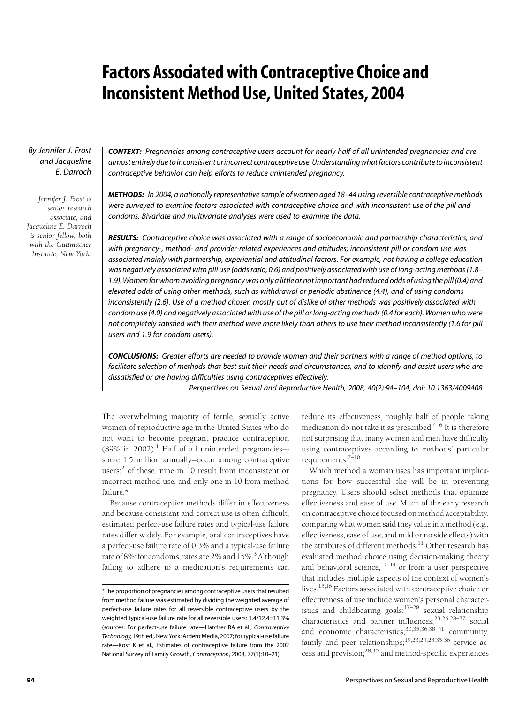# Factors Associated with Contraceptive Choice and Inconsistent Method Use, United States, 2004

By Jennifer J. Frost and Jacqueline E. Darroch

Jennifer J. Frost is senior research associate, and Jacqueline E. Darroch is senior fellow, both with the Guttmacher Institute, New York. CONTEXT: Pregnancies among contraceptive users account for nearly half of all unintended pregnancies and are almost entirely due to inconsistent or incorrect contraceptive use. Understanding what factors contribute to inconsistent contraceptive behavior can help efforts to reduce unintended pregnancy.

METHODS: In 2004, a nationally representative sample of women aged 18–44 using reversible contraceptive methods were surveyed to examine factors associated with contraceptive choice and with inconsistent use of the pill and condoms. Bivariate and multivariate analyses were used to examine the data.

RESULTS: Contraceptive choice was associated with a range of socioeconomic and partnership characteristics, and with pregnancy-, method- and provider-related experiences and attitudes; inconsistent pill or condom use was associated mainly with partnership, experiential and attitudinal factors. For example, not having a college education was negatively associated with pill use (odds ratio, 0.6) and positively associated with use of long-acting methods (1.8– 1.9). Women for whom avoiding pregnancy was only a little or not important had reduced odds of using the pill (0.4) and elevated odds of using other methods, such as withdrawal or periodic abstinence (4.4), and of using condoms inconsistently (2.6). Use of a method chosen mostly out of dislike of other methods was positively associated with condom use (4.0) and negatively associated with use of the pill or long-acting methods (0.4 for each). Women who were not completely satisfied with their method were more likely than others to use their method inconsistently (1.6 for pill users and 1.9 for condom users).

CONCLUSIONS: Greater efforts are needed to provide women and their partners with a range of method options, to facilitate selection of methods that best suit their needs and circumstances, and to identify and assist users who are dissatisfied or are having difficulties using contraceptives effectively.

Perspectives on Sexual and Reproductive Health, 2008, 40(2):94–104, doi: 10.1363/4009408

The overwhelming majority of fertile, sexually active women of reproductive age in the United States who do not want to become pregnant practice contraception  $(89\%$  in 2002).<sup>1</sup> Half of all unintended pregnancies some 1.5 million annually—occur among contraceptive users; $^{2}$  of these, nine in 10 result from inconsistent or incorrect method use, and only one in 10 from method failure.\*

Because contraceptive methods differ in effectiveness and because consistent and correct use is often difficult, estimated perfect-use failure rates and typical-use failure rates differ widely. For example, oral contraceptives have a perfect-use failure rate of 0.3% and a typical-use failure rate of 8%; for condoms, rates are 2% and 15%.<sup>3</sup> Although failing to adhere to a medication's requirements can reduce its effectiveness, roughly half of people taking medication do not take it as prescribed. $4-6$  It is therefore not surprising that many women and men have difficulty using contraceptives according to methods' particular requirements.7–10

Which method a woman uses has important implications for how successful she will be in preventing pregnancy. Users should select methods that optimize effectiveness and ease of use. Much of the early research on contraceptive choice focused on method acceptability, comparing what women said they value in a method (e.g., effectiveness, ease of use, and mild or no side effects) with the attributes of different methods.<sup>11</sup> Other research has evaluated method choice using decision-making theory and behavioral science, $12-14$  or from a user perspective that includes multiple aspects of the context of women's lives.15,16 Factors associated with contraceptive choice or effectiveness of use include women's personal characteristics and childbearing goals; $17-28$  sexual relationship characteristics and partner influences;<sup>23,26,28-37</sup> social and economic characteristics;30,35,36,38–41 community, family and peer relationships; $19,23,24,28,35,36$  service access and provision;28,35 and method-specific experiences

<sup>\*</sup>The proportion of pregnancies among contraceptive users that resulted from method failure was estimated by dividing the weighted average of perfect-use failure rates for all reversible contraceptive users by the weighted typical-use failure rate for all reversible users: 1.4/12.4=11.3% (sources: For perfect-use failure rate—Hatcher RA et al., Contraceptive Technology, 19th ed., New York: Ardent Media, 2007; for typical-use failure rate—Kost K et al., Estimates of contraceptive failure from the 2002 National Survey of Family Growth, Contraception, 2008, 77(1):10–21).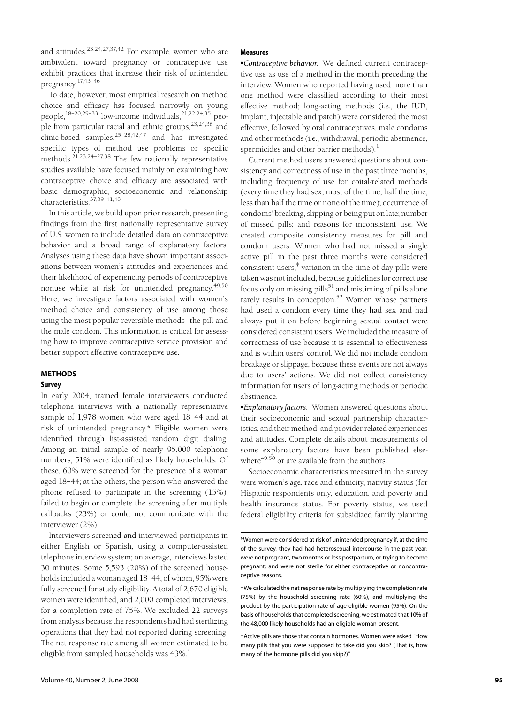and attitudes.<sup>23,24,27,37,42</sup> For example, women who are ambivalent toward pregnancy or contraceptive use exhibit practices that increase their risk of unintended pregnancy.17,43–46

To date, however, most empirical research on method choice and efficacy has focused narrowly on young people,<sup>18–20,29–33</sup> low-income individuals,<sup>21,22,24,35</sup> people from particular racial and ethnic groups,<sup>23,24,36</sup> and clinic-based samples,  $25-28,42,47$  and has investigated specific types of method use problems or specific methods.21,23,24–27,38 The few nationally representative studies available have focused mainly on examining how contraceptive choice and efficacy are associated with basic demographic, socioeconomic and relationship characteristics.37,39–41,48

In this article, we build upon prior research, presenting findings from the first nationally representative survey of U.S. women to include detailed data on contraceptive behavior and a broad range of explanatory factors. Analyses using these data have shown important associations between women's attitudes and experiences and their likelihood of experiencing periods of contraceptive nonuse while at risk for unintended pregnancy.<sup>49,50</sup> Here, we investigate factors associated with women's method choice and consistency of use among those using the most popular reversible methods—the pill and the male condom. This information is critical for assessing how to improve contraceptive service provision and better support effective contraceptive use.

# **METHODS**

## Survey

In early 2004, trained female interviewers conducted telephone interviews with a nationally representative sample of 1,978 women who were aged 18–44 and at risk of unintended pregnancy.\* Eligible women were identified through list-assisted random digit dialing. Among an initial sample of nearly 95,000 telephone numbers, 51% were identified as likely households. Of these, 60% were screened for the presence of a woman aged 18–44; at the others, the person who answered the phone refused to participate in the screening (15%), failed to begin or complete the screening after multiple callbacks (23%) or could not communicate with the interviewer (2%).

Interviewers screened and interviewed participants in either English or Spanish, using a computer-assisted telephone interview system; on average, interviews lasted 30 minutes. Some 5,593 (20%) of the screened households included a woman aged 18–44, of whom, 95% were fully screened for study eligibility. A total of 2,670 eligible women were identified, and 2,000 completed interviews, for a completion rate of 75%. We excluded 22 surveys from analysis because the respondents had had sterilizing operations that they had not reported during screening. The net response rate among all women estimated to be eligible from sampled households was 43%.†

#### Measures

•Contraceptive behavior. We defined current contraceptive use as use of a method in the month preceding the interview. Women who reported having used more than one method were classified according to their most effective method; long-acting methods (i.e., the IUD, implant, injectable and patch) were considered the most effective, followed by oral contraceptives, male condoms and other methods (i.e., withdrawal, periodic abstinence, spermicides and other barrier methods).<sup>1</sup>

Current method users answered questions about consistency and correctness of use in the past three months, including frequency of use for coital-related methods (every time they had sex, most of the time, half the time, less than half the time or none of the time); occurrence of condoms' breaking, slipping or being put on late; number of missed pills; and reasons for inconsistent use. We created composite consistency measures for pill and condom users. Women who had not missed a single active pill in the past three months were considered consistent users; $\dagger$  variation in the time of day pills were taken was not included, because guidelines for correct use focus only on missing pills $51$  and mistiming of pills alone rarely results in conception.<sup>52</sup> Women whose partners had used a condom every time they had sex and had always put it on before beginning sexual contact were considered consistent users. We included the measure of correctness of use because it is essential to effectiveness and is within users' control. We did not include condom breakage or slippage, because these events are not always due to users' actions. We did not collect consistency information for users of long-acting methods or periodic abstinence.

• Explanatory factors. Women answered questions about their socioeconomic and sexual partnership characteristics, and their method- and provider-related experiences and attitudes. Complete details about measurements of some explanatory factors have been published elsewhere $49,50$  or are available from the authors.

Socioeconomic characteristics measured in the survey were women's age, race and ethnicity, nativity status (for Hispanic respondents only, education, and poverty and health insurance status. For poverty status, we used federal eligibility criteria for subsidized family planning

†We calculated the net response rate by multiplying the completion rate (75%) by the household screening rate (60%), and multiplying the product by the participation rate of age-eligible women (95%). On the basis of households that completed screening, we estimated that 10% of the 48,000 likely households had an eligible woman present.

‡Active pills are those that contain hormones. Women were asked ''How many pills that you were supposed to take did you skip? (That is, how many of the hormone pills did you skip?)''

<sup>\*</sup>Women were considered at risk of unintended pregnancy if, at the time of the survey, they had had heterosexual intercourse in the past year; were not pregnant, two months or less postpartum, or trying to become pregnant; and were not sterile for either contraceptive or noncontraceptive reasons.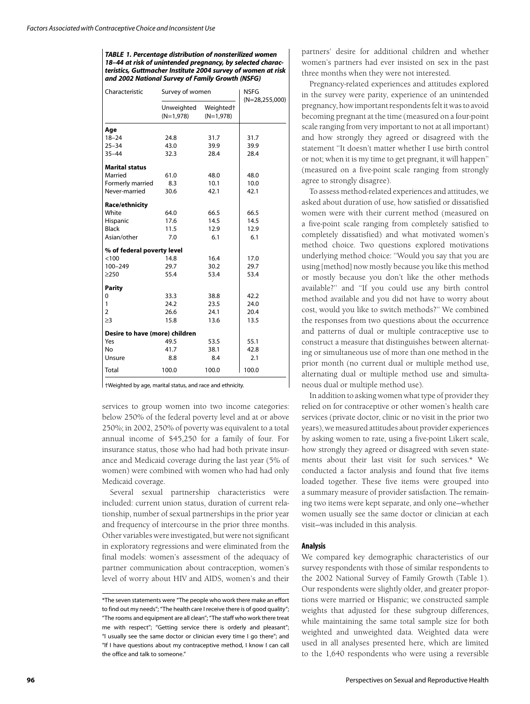TABLE 1. Percentage distribution of nonsterilized women 18–44 at risk of unintended pregnancy, by selected characteristics, Guttmacher Institute 2004 survey of women at risk and 2002 National Survey of Family Growth (NSFG)

| Characteristic                 | Survey of women           | <b>NSFG</b><br>$(N=28, 255, 000)$    |       |  |  |  |  |  |
|--------------------------------|---------------------------|--------------------------------------|-------|--|--|--|--|--|
|                                | Unweighted<br>$(N=1.978)$ | Weighted <sup>+</sup><br>$(N=1.978)$ |       |  |  |  |  |  |
| Age                            |                           |                                      |       |  |  |  |  |  |
| $18 - 24$                      | 24.8                      | 31.7                                 | 31.7  |  |  |  |  |  |
| $25 - 34$                      | 43.0                      | 39.9                                 | 39.9  |  |  |  |  |  |
| $35 - 44$                      | 32.3                      | 28.4                                 | 28.4  |  |  |  |  |  |
| <b>Marital status</b>          |                           |                                      |       |  |  |  |  |  |
| Married                        | 61.0                      | 48.0                                 | 48.0  |  |  |  |  |  |
| Formerly married               | 8.3                       | 10.1                                 | 10.0  |  |  |  |  |  |
| Never-married                  | 30.6                      | 42.1                                 | 42.1  |  |  |  |  |  |
| Race/ethnicity                 |                           |                                      |       |  |  |  |  |  |
| White                          | 64.0                      | 66.5                                 | 66.5  |  |  |  |  |  |
| Hispanic                       | 17.6                      | 14.5                                 | 14.5  |  |  |  |  |  |
| <b>Black</b>                   | 11.5                      | 12.9                                 | 12.9  |  |  |  |  |  |
| Asian/other                    | 7.0                       | 6.1                                  | 6.1   |  |  |  |  |  |
| % of federal poverty level     |                           |                                      |       |  |  |  |  |  |
| < 100                          | 14.8                      | 16.4                                 | 17.0  |  |  |  |  |  |
| 100-249                        | 29.7                      | 30.2                                 | 29.7  |  |  |  |  |  |
| >250                           | 55.4                      | 53.4                                 | 53.4  |  |  |  |  |  |
| <b>Parity</b>                  |                           |                                      |       |  |  |  |  |  |
| 0                              | 33.3                      | 38.8                                 | 42.2  |  |  |  |  |  |
| 1                              | 24.2                      | 23.5                                 | 24.0  |  |  |  |  |  |
| $\overline{2}$                 | 26.6                      | 24.1                                 | 20.4  |  |  |  |  |  |
| $\geq$ 3                       | 15.8                      | 13.6                                 | 13.5  |  |  |  |  |  |
| Desire to have (more) children |                           |                                      |       |  |  |  |  |  |
| Yes                            | 49.5                      | 53.5                                 | 55.1  |  |  |  |  |  |
| No.                            | 41.7                      | 38.1                                 | 42.8  |  |  |  |  |  |
| Unsure                         | 8.8                       | 8.4                                  | 2.1   |  |  |  |  |  |
| Total                          | 100.0                     | 100.0                                | 100.0 |  |  |  |  |  |

†Weighted by age, marital status, and race and ethnicity.

services to group women into two income categories: below 250% of the federal poverty level and at or above 250%; in 2002, 250% of poverty was equivalent to a total annual income of \$45,250 for a family of four. For insurance status, those who had had both private insurance and Medicaid coverage during the last year (5% of women) were combined with women who had had only Medicaid coverage.

Several sexual partnership characteristics were included: current union status, duration of current relationship, number of sexual partnerships in the prior year and frequency of intercourse in the prior three months. Other variables were investigated, but were not significant in exploratory regressions and were eliminated from the final models: women's assessment of the adequacy of partner communication about contraception, women's level of worry about HIV and AIDS, women's and their

partners' desire for additional children and whether women's partners had ever insisted on sex in the past three months when they were not interested.

Pregnancy-related experiences and attitudes explored in the survey were parity, experience of an unintended pregnancy, how important respondents felt it was to avoid becoming pregnant at the time (measured on a four-point scale ranging from very important to not at all important) and how strongly they agreed or disagreed with the statement ''It doesn't matter whether I use birth control or not; when it is my time to get pregnant, it will happen'' (measured on a five-point scale ranging from strongly agree to strongly disagree).

To assess method-related experiences and attitudes, we asked about duration of use, how satisfied or dissatisfied women were with their current method (measured on a five-point scale ranging from completely satisfied to completely dissatisfied) and what motivated women's method choice. Two questions explored motivations underlying method choice: ''Would you say that you are using [method] now mostly because you like this method or mostly because you don't like the other methods available?'' and ''If you could use any birth control method available and you did not have to worry about cost, would you like to switch methods?'' We combined the responses from two questions about the occurrence and patterns of dual or multiple contraceptive use to construct a measure that distinguishes between alternating or simultaneous use of more than one method in the prior month (no current dual or multiple method use, alternating dual or multiple method use and simultaneous dual or multiple method use).

In addition to asking women what type of provider they relied on for contraceptive or other women's health care services (private doctor, clinic or no visit in the prior two years), we measured attitudes about provider experiences by asking women to rate, using a five-point Likert scale, how strongly they agreed or disagreed with seven statements about their last visit for such services.\* We conducted a factor analysis and found that five items loaded together. These five items were grouped into a summary measure of provider satisfaction. The remaining two items were kept separate, and only one—whether women usually see the same doctor or clinician at each visit—was included in this analysis.

#### Analysis

We compared key demographic characteristics of our survey respondents with those of similar respondents to the 2002 National Survey of Family Growth (Table 1). Our respondents were slightly older, and greater proportions were married or Hispanic; we constructed sample weights that adjusted for these subgroup differences, while maintaining the same total sample size for both weighted and unweighted data. Weighted data were used in all analyses presented here, which are limited to the 1,640 respondents who were using a reversible

<sup>\*</sup>The seven statements were ''The people who work there make an effort to find out my needs''; ''The health care I receive there is of good quality''; ''The rooms and equipment are all clean''; ''The staff who work there treat me with respect"; "Getting service there is orderly and pleasant"; ''I usually see the same doctor or clinician every time I go there''; and ''If I have questions about my contraceptive method, I know I can call the office and talk to someone.''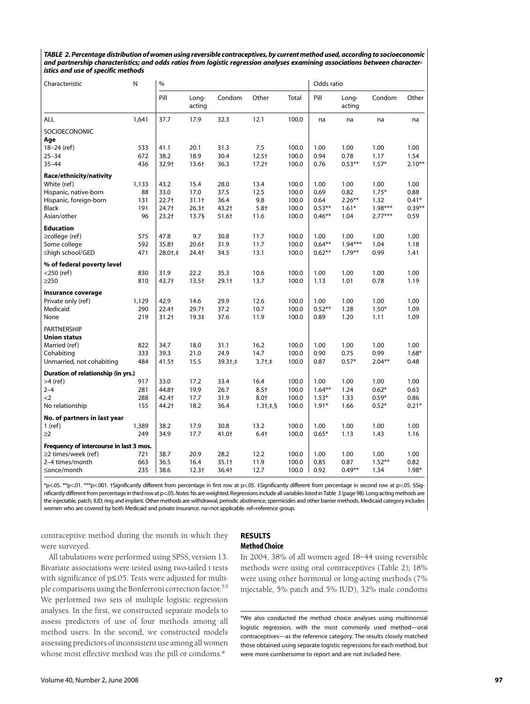TABLE 2. Percentage distribution of women using reversible contraceptives, by current method used, according to socioeconomic and partnership characteristics; and odds ratios from logistic regression analyses examining associations between characteristics and use of specific methods

| Characteristic                          | N     | %       |                 |         |              | Odds ratio |           |                 |           |           |
|-----------------------------------------|-------|---------|-----------------|---------|--------------|------------|-----------|-----------------|-----------|-----------|
|                                         |       | Pill    | Long-<br>acting | Condom  | Other        | Total      | Pill      | Long-<br>acting | Condom    | Other     |
| <b>ALL</b>                              | 1,641 | 37.7    | 17.9            | 32.3    | 12.1         | 100.0      | na        | na              | na        | na        |
| SOCIOECONOMIC<br>Age                    |       |         |                 |         |              |            |           |                 |           |           |
| $18-24$ (ref)                           | 533   | 41.1    | 20.1            | 31.3    | 7.5          | 100.0      | 1.00      | 1.00            | 1.00      | 1.00      |
| $25 - 34$                               | 672   | 38.2    | 18.9            | 30.4    | $12.5+$      | 100.0      | 0.94      | 0.78            | 1.17      | 1.54      |
| $35 - 44$                               | 436   | 32.9+   | 13.6+           | 36.3    | $17.2+$      | 100.0      | 0.76      | $0.53**$        | $1.57*$   | $2.10**$  |
| Race/ethnicity/nativity                 |       |         |                 |         |              |            |           |                 |           |           |
| White (ref)                             | 1,133 | 43.2    | 15.4            | 28.0    | 13.4         | 100.0      | 1.00      | 1.00            | 1.00      | 1.00      |
| Hispanic, native-born                   | 88    | 33.0    | 17.0            | 37.5    | 12.5         | 100.0      | 0.69      | 0.82            | $1.75*$   | 0.88      |
| Hispanic, foreign-born                  | 131   | 22.7†   | $31.1+$         | 36.4    | 9.8          | 100.0      | 0.64      | $2.26**$        | 1.32      | $0.41*$   |
| <b>Black</b>                            | 191   | 24.7†   | $26.3+$         | $43.2+$ | $5.8+$       | 100.0      | $0.53***$ | $1.61*$         | $1.98***$ | $0.39***$ |
| Asian/other                             | 96    | $23.2+$ | 13.7§           | 51.6+   | 11.6         | 100.0      | $0.46***$ | 1.04            | $2.77***$ | 0.59      |
| <b>Education</b>                        |       |         |                 |         |              |            |           |                 |           |           |
| $\geq$ college (ref)                    | 575   | 47.8    | 9.7             | 30.8    | 11.7         | 100.0      | 1.00      | 1.00            | 1.00      | 1.00      |
| Some college                            | 592   | 35.8†   | 20.6†           | 31.9    | 11.7         | 100.0      | $0.64**$  | $1.94***$       | 1.04      | 1.18      |
| ≤high school/GED                        | 471   | 28.0+,‡ | 24.4+           | 34.5    | 13.1         | 100.0      | $0.62**$  | $1.79***$       | 0.99      | 1.41      |
| % of federal poverty level              |       |         |                 |         |              |            |           |                 |           |           |
| $<$ 250 (ref)                           | 830   | 31.9    | 22.2            | 35.3    | 10.6         | 100.0      | 1.00      | 1.00            | 1.00      | 1.00      |
| $\geq$ 250                              | 810   | 43.7†   | $13.5+$         | $29.1+$ | 13.7         | 100.0      | 1.13      | 1.01            | 0.78      | 1.19      |
| Insurance coverage                      |       |         |                 |         |              |            |           |                 |           |           |
| Private only (ref)                      | 1,129 | 42.9    | 14.6            | 29.9    | 12.6         | 100.0      | 1.00      | 1.00            | 1.00      | 1.00      |
| Medicaid                                | 290   | $22.4+$ | $29.7+$         | 37.2    | 10.7         | 100.0      | $0.52***$ | 1.28            | $1.50*$   | 1.09      |
| None                                    | 219   | $31.2+$ | 19.3‡           | 37.6    | 11.9         | 100.0      | 0.89      | 1.20            | 1.11      | 1.09      |
| <b>PARTNERSHIP</b>                      |       |         |                 |         |              |            |           |                 |           |           |
| <b>Union status</b>                     |       |         |                 |         |              |            |           |                 |           |           |
| Married (ref)                           | 822   | 34.7    | 18.0            | 31.1    | 16.2         | 100.0      | 1.00      | 1.00            | 1.00      | 1.00      |
| Cohabiting                              | 333   | 39.3    | 21.0            | 24.9    | 14.7         | 100.0      | 0.90      | 0.75            | 0.99      | $1.68*$   |
| Unmarried, not cohabiting               | 484   | 41.5+   | 15.5            | 39.3+,‡ | $3.7 + +$    | 100.0      | 0.87      | $0.57*$         | $2.04***$ | 0.48      |
| Duration of relationship (in yrs.)      |       |         |                 |         |              |            |           |                 |           |           |
| $>4$ (ref)                              | 917   | 33.0    | 17.2            | 33.4    | 16.4         | 100.0      | 1.00      | 1.00            | 1.00      | 1.00      |
| $2 - 4$                                 | 281   | 44.8+   | 19.9            | 26.7    | $8.5 +$      | 100.0      | $1.64***$ | 1.24            | $0.62*$   | 0.63      |
| $<$ 2                                   | 288   | 42.4†   | 17.7            | 31.9    | $8.0 +$      | 100.0      | $1.53*$   | 1.33            | $0.59*$   | 0.86      |
| No relationship                         | 155   | 44.2†   | 18.2            | 36.4    | $1.3 + +5.5$ | 100.0      | $1.91*$   | 1.66            | $0.52*$   | $0.21*$   |
| No. of partners in last year            |       |         |                 |         |              |            |           |                 |           |           |
| $1$ (ref)                               | 1,389 | 38.2    | 17.9            | 30.8    | 13.2         | 100.0      | 1.00      | 1.00            | 1.00      | 1.00      |
| $\geq$ 2                                | 249   | 34.9    | 17.7            | 41.0+   | $6.4+$       | 100.0      | $0.65*$   | 1.13            | 1.43      | 1.16      |
| Frequency of intercourse in last 3 mos. |       |         |                 |         |              |            |           |                 |           |           |
| $\geq$ 2 times/week (ref)               | 721   | 38.7    | 20.9            | 28.2    | 12.2         | 100.0      | 1.00      | 1.00            | 1.00      | 1.00      |
| 2-4 times/month                         | 663   | 36.5    | 16.4            | $35.1+$ | 11.9         | 100.0      | 0.85      | 0.87            | $1.52***$ | 0.82      |
| ≤once/month                             | 235   | 38.6    | $12.3+$         | 36.4†   | 12.7         | 100.0      | 0.92      | $0.49**$        | 1.34      | $1.98*$   |

\*p<.05. \*\*p<.01. \*\*\*p<.001. †Significantly different from percentage in first row at p<.05. ‡Significantly different from percentage in second row at p<.05. §Significantly different from percentage in third row at p<.05. Notes: Ns are weighted. Regressions include all variables listed in Table 3 (page 98). Long-acting methods are the injectable, patch, IUD, ring and implant. Other methods are withdrawal, periodic abstinence, spermicides and other barrier methods. Medicaid category includes women who are covered by both Medicaid and private insurance. na=not applicable. ref=reference group.

contraceptive method during the month in which they were surveyed.

All tabulations were performed using SPSS, version 13. Bivariate associations were tested using two-tailed t tests with significance of p<.05. Tests were adjusted for multiple comparisons using the Bonferroni correction factor.<sup>53</sup> We performed two sets of multiple logistic regression analyses. In the first, we constructed separate models to assess predictors of use of four methods among all method users. In the second, we constructed models assessing predictors of inconsistent use among all women whose most effective method was the pill or condoms.\*

## RESULTS Method Choice

In 2004, 38% of all women aged 18–44 using reversible methods were using oral contraceptives (Table 2); 18% were using other hormonal or long-acting methods (7% injectable, 5% patch and 5% IUD), 32% male condoms

<sup>\*</sup>We also conducted the method choice analyses using multinomial logistic regression, with the most commonly used method—oral contraceptives—as the reference category. The results closely matched those obtained using separate logistic regressions for each method, but were more cumbersome to report and are not included here.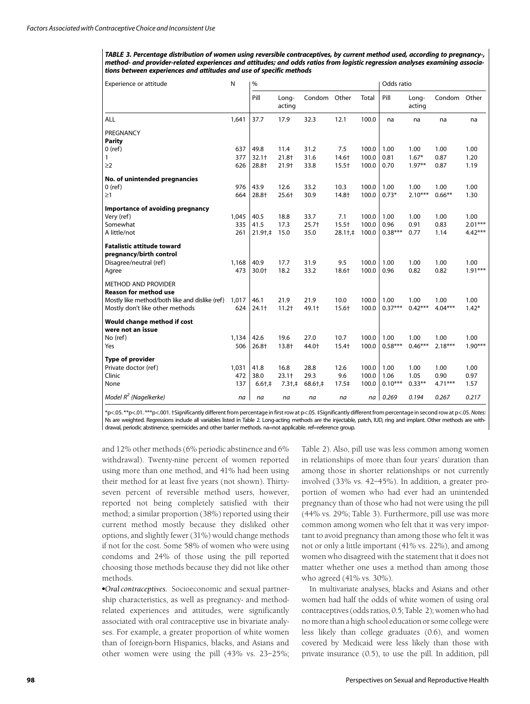TABLE 3. Percentage distribution of women using reversible contraceptives, by current method used, according to pregnancy-, method- and provider-related experiences and attitudes; and odds ratios from logistic regression analyses examining associations between experiences and attitudes and use of specific methods

| Experience or attitude                                                                                                                          | N                   | %                          |                              |                                  |                              |                         | Odds ratio                |                          |                           |                                |
|-------------------------------------------------------------------------------------------------------------------------------------------------|---------------------|----------------------------|------------------------------|----------------------------------|------------------------------|-------------------------|---------------------------|--------------------------|---------------------------|--------------------------------|
|                                                                                                                                                 |                     | Pill                       | Long-<br>acting              | Condom Other                     |                              | Total                   | Pill                      | Long-<br>acting          | Condom Other              |                                |
| <b>ALL</b>                                                                                                                                      | 1,641               | 37.7                       | 17.9                         | 32.3                             | 12.1                         | 100.0                   | na                        | na                       | na                        | na                             |
| PREGNANCY<br><b>Parity</b><br>$0$ (ref)<br>1                                                                                                    | 637<br>377          | 49.8<br>$32.1+$            | 11.4<br>21.8+                | 31.2<br>31.6                     | 7.5<br>14.6†                 | 100.0<br>100.0          | 1.00<br>0.81              | 1.00<br>$1.67*$          | 1.00<br>0.87              | 1.00<br>1.20                   |
| $\geq$ 2                                                                                                                                        | 626                 | 28.8+                      | 21.9 <sup>+</sup>            | 33.8                             | $15.5+$                      | 100.0                   | 0.70                      | $1.97**$                 | 0.87                      | 1.19                           |
| No. of unintended pregnancies<br>$0$ (ref)<br>$\geq$ 1                                                                                          | 976<br>664          | 43.9<br>28.8+              | 12.6<br>25.6+                | 33.2<br>30.9                     | 10.3<br>14.8 <sup>+</sup>    | 100.0<br>100.0          | 1.00<br>$0.73*$           | 1.00<br>$2.10***$        | 1.00<br>$0.66***$         | 1.00<br>1.30                   |
| Importance of avoiding pregnancy<br>Very (ref)<br>Somewhat<br>A little/not                                                                      | 1,045<br>335<br>261 | 40.5<br>41.5<br>$21.9 + +$ | 18.8<br>17.3<br>15.0         | 33.7<br>$25.7+$<br>35.0          | 7.1<br>$15.5+$<br>$28.1 + +$ | 100.0<br>100.0<br>100.0 | 1.00<br>0.96<br>$0.38***$ | 1.00<br>0.91<br>0.77     | 1.00<br>0.83<br>1.14      | 1.00<br>$2.01***$<br>$4.42***$ |
| <b>Fatalistic attitude toward</b><br>pregnancy/birth control<br>Disagree/neutral (ref)<br>Agree                                                 | 1,168<br>473        | 40.9<br>30.0+              | 17.7<br>18.2                 | 31.9<br>33.2                     | 9.5<br>18.6+                 | 100.0<br>100.0          | 1.00<br>0.96              | 1.00<br>0.82             | 1.00<br>0.82              | 1.00<br>$1.91***$              |
| <b>METHOD AND PROVIDER</b><br><b>Reason for method use</b><br>Mostly like method/both like and dislike (ref)<br>Mostly don't like other methods | 1,017<br>624        | 46.1<br>$24.1+$            | 21.9<br>$11.2+$              | 21.9<br>49.1+                    | 10.0<br>15.6†                | 100.0<br>100.0          | 1.00<br>$0.37***$         | 1.00<br>$0.42***$        | 1.00<br>$4.04***$         | 1.00<br>$1.42*$                |
| Would change method if cost<br>were not an issue<br>No (ref)<br>Yes                                                                             | 1,134<br>506        | 42.6<br>26.8+              | 19.6<br>13.8+                | 27.0<br>44.0+                    | 10.7<br>$15.4+$              | 100.0<br>100.0          | 1.00<br>$0.58***$         | 1.00<br>$0.46***$        | 1.00<br>$2.18***$         | 1.00<br>$1.90***$              |
| <b>Type of provider</b><br>Private doctor (ref)<br>Clinic<br>None                                                                               | 1,031<br>472<br>137 | 41.8<br>38.0<br>$6.6 + +$  | 16.8<br>$23.1+$<br>$7.3 + +$ | 28.8<br>29.3<br>$68.6\dagger$ ,# | 12.6<br>9.6<br>17.5‡         | 100.0<br>100.0<br>100.0 | 1.00<br>1.06<br>$0.10***$ | 1.00<br>1.05<br>$0.33**$ | 1.00<br>0.90<br>$4.71***$ | 1.00<br>0.97<br>1.57           |
| Model $R^2$ (Nagelkerke)                                                                                                                        | na                  | na                         | na                           | na                               | na                           | na                      | 0.269                     | 0.194                    | 0.267                     | 0.217                          |

\*p<.05. \*\*p<.01. \*\*\*p<.001. †Significantly different from percentage in first row at p<.05. ‡Significantly different from percentage in second row at p<.05. Notes: Ns are weighted. Regressions include all variables listed in Table 2. Long-acting methods are the injectable, patch, IUD, ring and implant. Other methods are withdrawal, periodic abstinence, spermicides and other barrier methods. na=not applicable. ref=reference group.

and 12% other methods (6% periodic abstinence and 6% withdrawal). Twenty-nine percent of women reported using more than one method, and 41% had been using their method for at least five years (not shown). Thirtyseven percent of reversible method users, however, reported not being completely satisfied with their method; a similar proportion (38%) reported using their current method mostly because they disliked other options, and slightly fewer (31%) would change methods if not for the cost. Some 58% of women who were using condoms and 24% of those using the pill reported choosing those methods because they did not like other methods.

•Oral contraceptives. Socioeconomic and sexual partnership characteristics, as well as pregnancy- and methodrelated experiences and attitudes, were significantly associated with oral contraceptive use in bivariate analyses. For example, a greater proportion of white women than of foreign-born Hispanics, blacks, and Asians and other women were using the pill (43% vs. 23–25%; Table 2). Also, pill use was less common among women in relationships of more than four years' duration than among those in shorter relationships or not currently involved (33% vs. 42–45%). In addition, a greater proportion of women who had ever had an unintended pregnancy than of those who had not were using the pill (44% vs. 29%; Table 3). Furthermore, pill use was more common among women who felt that it was very important to avoid pregnancy than among those who felt it was not or only a little important (41% vs. 22%), and among women who disagreed with the statement that it does not matter whether one uses a method than among those who agreed (41% vs. 30%).

In multivariate analyses, blacks and Asians and other women had half the odds of white women of using oral contraceptives (odds ratios, 0.5; Table 2); women who had nomore than a high school education or some college were less likely than college graduates (0.6), and women covered by Medicaid were less likely than those with private insurance (0.5), to use the pill. In addition, pill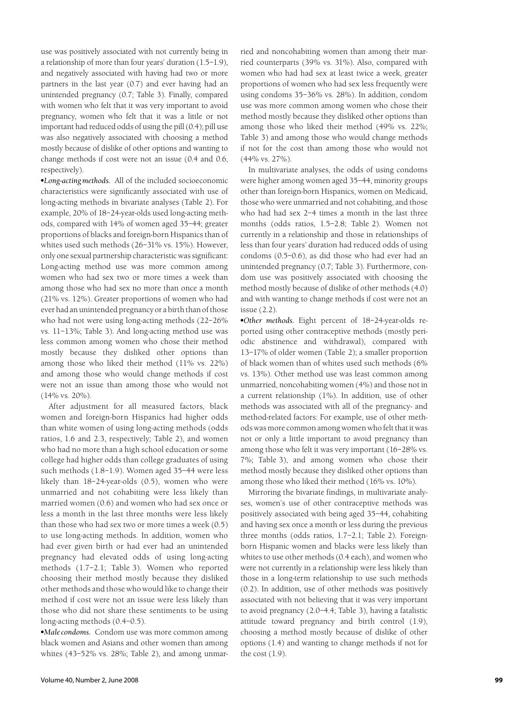use was positively associated with not currently being in a relationship of more than four years' duration (1.5–1.9), and negatively associated with having had two or more partners in the last year (0.7) and ever having had an unintended pregnancy (0.7; Table 3). Finally, compared with women who felt that it was very important to avoid pregnancy, women who felt that it was a little or not important had reduced odds of using the pill (0.4); pill use was also negatively associated with choosing a method mostly because of dislike of other options and wanting to change methods if cost were not an issue (0.4 and 0.6, respectively).

•Long-acting methods. All of the included socioeconomic characteristics were significantly associated with use of long-acting methods in bivariate analyses (Table 2). For example, 20% of 18–24-year-olds used long-acting methods, compared with 14% of women aged 35–44; greater proportions of blacks and foreign-born Hispanics than of whites used such methods (26–31% vs. 15%). However, only one sexual partnership characteristic was significant: Long-acting method use was more common among women who had sex two or more times a week than among those who had sex no more than once a month (21% vs. 12%). Greater proportions of women who had ever had an unintended pregnancy or a birth than of those who had not were using long-acting methods (22–26% vs. 11–13%; Table 3). And long-acting method use was less common among women who chose their method mostly because they disliked other options than among those who liked their method (11% vs. 22%) and among those who would change methods if cost were not an issue than among those who would not (14% vs. 20%).

After adjustment for all measured factors, black women and foreign-born Hispanics had higher odds than white women of using long-acting methods (odds ratios, 1.6 and 2.3, respectively; Table 2), and women who had no more than a high school education or some college had higher odds than college graduates of using such methods (1.8–1.9). Women aged 35–44 were less likely than 18–24-year-olds (0.5), women who were unmarried and not cohabiting were less likely than married women (0.6) and women who had sex once or less a month in the last three months were less likely than those who had sex two or more times a week (0.5) to use long-acting methods. In addition, women who had ever given birth or had ever had an unintended pregnancy had elevated odds of using long-acting methods (1.7–2.1; Table 3). Women who reported choosing their method mostly because they disliked other methods and those who would like to change their method if cost were not an issue were less likely than those who did not share these sentiments to be using long-acting methods (0.4–0.5).

• Male condoms. Condom use was more common among black women and Asians and other women than among whites (43–52% vs. 28%; Table 2), and among unmarried and noncohabiting women than among their married counterparts (39% vs. 31%). Also, compared with women who had had sex at least twice a week, greater proportions of women who had sex less frequently were using condoms 35–36% vs. 28%). In addition, condom use was more common among women who chose their method mostly because they disliked other options than among those who liked their method (49% vs. 22%; Table 3) and among those who would change methods if not for the cost than among those who would not (44% vs. 27%).

In multivariate analyses, the odds of using condoms were higher among women aged 35–44, minority groups other than foreign-born Hispanics, women on Medicaid, those who were unmarried and not cohabiting, and those who had had sex 2–4 times a month in the last three months (odds ratios, 1.5–2.8; Table 2). Women not currently in a relationship and those in relationships of less than four years' duration had reduced odds of using condoms (0.5–0.6), as did those who had ever had an unintended pregnancy (0.7; Table 3). Furthermore, condom use was positively associated with choosing the method mostly because of dislike of other methods (4.0) and with wanting to change methods if cost were not an issue (2.2).

•Other methods. Eight percent of 18-24-year-olds reported using other contraceptive methods (mostly periodic abstinence and withdrawal), compared with 13–17% of older women (Table 2); a smaller proportion of black women than of whites used such methods (6% vs. 13%). Other method use was least common among unmarried, noncohabiting women (4%) and those not in a current relationship (1%). In addition, use of other methods was associated with all of the pregnancy- and method-related factors: For example, use of other methods was more common among women who felt that it was not or only a little important to avoid pregnancy than among those who felt it was very important (16–28% vs. 7%; Table 3), and among women who chose their method mostly because they disliked other options than among those who liked their method (16% vs. 10%).

Mirroring the bivariate findings, in multivariate analyses, women's use of other contraceptive methods was positively associated with being aged 35–44, cohabiting and having sex once a month or less during the previous three months (odds ratios, 1.7–2.1; Table 2). Foreignborn Hispanic women and blacks were less likely than whites to use other methods (0.4 each), and women who were not currently in a relationship were less likely than those in a long-term relationship to use such methods (0.2). In addition, use of other methods was positively associated with not believing that it was very important to avoid pregnancy (2.0–4.4; Table 3), having a fatalistic attitude toward pregnancy and birth control (1.9), choosing a method mostly because of dislike of other options (1.4) and wanting to change methods if not for the cost (1.9).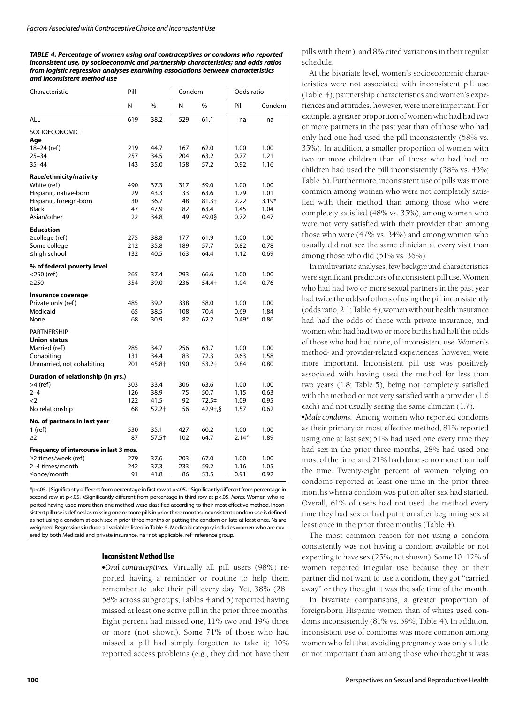TABLE 4. Percentage of women using oral contraceptives or condoms who reported inconsistent use, by socioeconomic and partnership characteristics; and odds ratios from logistic regression analyses examining associations between characteristics and inconsistent method use

| Characteristic                                                 | Pill |         | Condom |         | Odds ratio |         |  |
|----------------------------------------------------------------|------|---------|--------|---------|------------|---------|--|
|                                                                | N    | $\%$    | N      | $\%$    | Pill       | Condom  |  |
| <b>ALL</b>                                                     | 619  | 38.2    | 529    | 61.1    | na         | na      |  |
| <b>SOCIOECONOMIC</b>                                           |      |         |        |         |            |         |  |
| Age                                                            |      |         |        |         |            |         |  |
| 18-24 (ref)                                                    | 219  | 44.7    | 167    | 62.0    | 1.00       | 1.00    |  |
| $25 - 34$                                                      | 257  | 34.5    | 204    | 63.2    | 0.77       | 1.21    |  |
| $35 - 44$                                                      | 143  | 35.0    | 158    | 57.2    | 0.92       | 1.16    |  |
| Race/ethnicity/nativity                                        |      |         |        |         |            |         |  |
| White (ref)                                                    | 490  | 37.3    | 317    | 59.0    | 1.00       | 1.00    |  |
| Hispanic, native-born                                          | 29   | 43.3    | 33     | 63.6    | 1.79       | 1.01    |  |
| Hispanic, foreign-born                                         | 30   | 36.7    | 48     | $81.3+$ | 2.22       | $3.19*$ |  |
| <b>Black</b>                                                   | 47   | 47.9    | 82     | 63.4    | 1.45       | 1.04    |  |
| Asian/other                                                    | 22   | 34.8    | 49     | 49.0§   | 0.72       | 0.47    |  |
| <b>Education</b>                                               |      |         |        |         |            |         |  |
| $\geq$ college (ref)                                           | 275  | 38.8    | 177    | 61.9    | 1.00       | 1.00    |  |
| Some college                                                   | 212  | 35.8    | 189    | 57.7    | 0.82       | 0.78    |  |
| ≤high school                                                   | 132  | 40.5    | 163    | 64.4    | 1.12       | 0.69    |  |
| % of federal poverty level                                     |      |         |        |         |            |         |  |
| $<$ 250 (ref)                                                  | 265  | 37.4    | 293    | 66.6    | 1.00       | 1.00    |  |
| $\geq$ 250                                                     | 354  | 39.0    | 236    | 54.4+   | 1.04       | 0.76    |  |
| Insurance coverage                                             |      |         |        |         |            |         |  |
| Private only (ref)                                             | 485  | 39.2    | 338    | 58.0    | 1.00       | 1.00    |  |
| Medicaid                                                       | 65   | 38.5    | 108    | 70.4    | 0.69       | 1.84    |  |
| None                                                           | 68   | 30.9    | 82     | 62.2    | $0.49*$    | 0.86    |  |
| <b>PARTNERSHIP</b>                                             |      |         |        |         |            |         |  |
| <b>Union status</b>                                            |      |         |        |         |            |         |  |
| Married (ref)                                                  | 285  | 34.7    | 256    | 63.7    | 1.00       | 1.00    |  |
| Cohabiting                                                     | 131  | 34.4    | 83     | 72.3    | 0.63       | 1.58    |  |
| Unmarried, not cohabiting                                      | 201  | 45.8†   | 190    | 53.2‡   | 0.84       | 0.80    |  |
| Duration of relationship (in yrs.)                             |      |         |        |         |            |         |  |
| $>4$ (ref)                                                     | 303  | 33.4    | 306    | 63.6    | 1.00       | 1.00    |  |
| $2 - 4$                                                        | 126  | 38.9    | 75     | 50.7    | 1.15       | 0.63    |  |
| $2$                                                            | 122  | 41.5    | 92     | 72.5‡   | 1.09       | 0.95    |  |
| No relationship                                                | 68   | 52.2†   | 56     | 42.9†,§ | 1.57       | 0.62    |  |
| No. of partners in last year                                   |      |         |        |         |            |         |  |
| $1$ (ref)                                                      | 530  | 35.1    | 427    | 60.2    | 1.00       | 1.00    |  |
| >2                                                             | 87   | $57.5+$ | 102    | 64.7    | $2.14*$    | 1.89    |  |
|                                                                |      |         |        |         |            |         |  |
| Frequency of intercourse in last 3 mos.<br>≥2 times/week (ref) | 279  | 37.6    | 203    | 67.0    | 1.00       | 1.00    |  |
| 2-4 times/month                                                | 242  | 37.3    | 233    | 59.2    | 1.16       | 1.05    |  |
| ≤once/month                                                    | 91   | 41.8    | 86     | 53.5    | 0.91       | 0.92    |  |
|                                                                |      |         |        |         |            |         |  |

\*p<.05. †Significantly differentfrom percentage infirst row at p<.05. ‡Significantly differentfrom percentage in second row at p<.05. §Significantly different from percentage in third row at p<.05. Notes: Women who reported having used more than one method were classified according to their most effective method. Inconsistent pill use is defined as missing one or more pills in prior three months; inconsistent condom use is defined as not using a condom at each sex in prior three months or putting the condom on late at least once. Ns are weighted. Regressions include all variables listed in Table 5. Medicaid category includes women who are covered by both Medicaid and private insurance. na=not applicable. ref=reference group.

#### Inconsistent Method Use

•Oral contraceptives. Virtually all pill users (98%) reported having a reminder or routine to help them remember to take their pill every day. Yet, 38% (28– 58% across subgroups; Tables 4 and 5) reported having missed at least one active pill in the prior three months: Eight percent had missed one, 11% two and 19% three or more (not shown). Some 71% of those who had missed a pill had simply forgotten to take it; 10% reported access problems (e.g., they did not have their

pills with them), and 8% cited variations in their regular schedule.

At the bivariate level, women's socioeconomic characteristics were not associated with inconsistent pill use (Table 4); partnership characteristics and women's experiences and attitudes, however, were more important. For example, a greater proportion of women who had had two or more partners in the past year than of those who had only had one had used the pill inconsistently (58% vs. 35%). In addition, a smaller proportion of women with two or more children than of those who had had no children had used the pill inconsistently (28% vs. 43%; Table 5). Furthermore, inconsistent use of pills was more common among women who were not completely satisfied with their method than among those who were completely satisfied (48% vs. 35%), among women who were not very satisfied with their provider than among those who were (47% vs. 34%) and among women who usually did not see the same clinician at every visit than among those who did (51% vs. 36%).

In multivariate analyses, few background characteristics were significant predictors of inconsistent pill use.Women who had had two or more sexual partners in the past year had twice the odds of others of using the pill inconsistently (odds ratio, 2.1; Table 4); women without health insurance had half the odds of those with private insurance, and women who had had two or more births had half the odds of those who had had none, of inconsistent use. Women's method- and provider-related experiences, however, were more important. Inconsistent pill use was positively associated with having used the method for less than two years (1.8; Table 5), being not completely satisfied with the method or not very satisfied with a provider (1.6 each) and not usually seeing the same clinician (1.7).

• Male condoms. Among women who reported condoms as their primary or most effective method, 81% reported using one at last sex; 51% had used one every time they had sex in the prior three months, 28% had used one most of the time, and 21% had done so no more than half the time. Twenty-eight percent of women relying on condoms reported at least one time in the prior three months when a condom was put on after sex had started. Overall, 61% of users had not used the method every time they had sex or had put it on after beginning sex at least once in the prior three months (Table 4).

The most common reason for not using a condom consistently was not having a condom available or not expecting to have sex (25%; not shown). Some 10–12% of women reported irregular use because they or their partner did not want to use a condom, they got ''carried away'' or they thought it was the safe time of the month.

In bivariate comparisons, a greater proportion of foreign-born Hispanic women than of whites used condoms inconsistently (81% vs. 59%; Table 4). In addition, inconsistent use of condoms was more common among women who felt that avoiding pregnancy was only a little or not important than among those who thought it was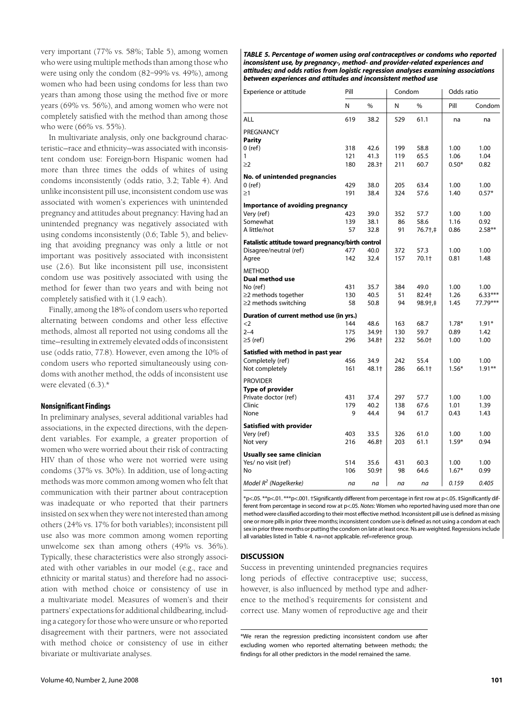very important (77% vs. 58%; Table 5), among women who were using multiple methods than among those who were using only the condom (82–99% vs. 49%), among women who had been using condoms for less than two years than among those using the method five or more years (69% vs. 56%), and among women who were not completely satisfied with the method than among those who were (66% vs. 55%).

In multivariate analysis, only one background characteristic—race and ethnicity—was associated with inconsistent condom use: Foreign-born Hispanic women had more than three times the odds of whites of using condoms inconsistently (odds ratio, 3.2; Table 4). And unlike inconsistent pill use, inconsistent condom use was associated with women's experiences with unintended pregnancy and attitudes about pregnancy: Having had an unintended pregnancy was negatively associated with using condoms inconsistently (0.6; Table 5), and believing that avoiding pregnancy was only a little or not important was positively associated with inconsistent use (2.6). But like inconsistent pill use, inconsistent condom use was positively associated with using the method for fewer than two years and with being not completely satisfied with it (1.9 each).

Finally, among the 18% of condom users who reported alternating between condoms and other less effective methods, almost all reported not using condoms all the time—resulting in extremely elevated odds of inconsistent use (odds ratio, 77.8). However, even among the 10% of condom users who reported simultaneously using condoms with another method, the odds of inconsistent use were elevated (6.3).\*

## Nonsignificant Findings

In preliminary analyses, several additional variables had associations, in the expected directions, with the dependent variables. For example, a greater proportion of women who were worried about their risk of contracting HIV than of those who were not worried were using condoms (37% vs. 30%). In addition, use of long-acting methods was more common among women who felt that communication with their partner about contraception was inadequate or who reported that their partners insisted on sex when they were not interested than among others (24% vs. 17% for both variables); inconsistent pill use also was more common among women reporting unwelcome sex than among others (49% vs. 36%). Typically, these characteristics were also strongly associated with other variables in our model (e.g., race and ethnicity or marital status) and therefore had no association with method choice or consistency of use in a multivariate model. Measures of women's and their partners' expectations for additional childbearing, including a category for those who were unsure or who reported disagreement with their partners, were not associated with method choice or consistency of use in either bivariate or multivariate analyses.

TABLE 5. Percentage of women using oral contraceptives or condoms who reported inconsistent use, by pregnancy-, method- and provider-related experiences and attitudes; and odds ratios from logistic regression analyses examining associations between experiences and attitudes and inconsistent method use

| Experience or attitude                             | Pill |       | Condom |         | Odds ratio |           |  |
|----------------------------------------------------|------|-------|--------|---------|------------|-----------|--|
|                                                    | N    | $\%$  | N      | $\%$    | Pill       | Condom    |  |
| ALL                                                | 619  | 38.2  | 529    | 61.1    | na         | na        |  |
| PREGNANCY                                          |      |       |        |         |            |           |  |
| <b>Parity</b>                                      |      |       |        |         |            |           |  |
| $0$ (ref)                                          | 318  | 42.6  | 199    | 58.8    | 1.00       | 1.00      |  |
| 1                                                  | 121  | 41.3  | 119    | 65.5    | 1.06       | 1.04      |  |
| $\geq$ 2                                           | 180  | 28.3† | 211    | 60.7    | $0.50*$    | 0.82      |  |
| No. of unintended pregnancies                      |      |       |        |         |            |           |  |
| $0$ (ref)                                          | 429  | 38.0  | 205    | 63.4    | 1.00       | 1.00      |  |
| $\geq$ 1                                           | 191  | 38.4  | 324    | 57.6    | 1.40       | $0.57*$   |  |
| Importance of avoiding pregnancy                   |      |       |        |         |            |           |  |
| Very (ref)                                         | 423  | 39.0  | 352    | 57.7    | 1.00       | 1.00      |  |
| Somewhat                                           | 139  | 38.1  | 86     | 58.6    | 1.16       | 0.92      |  |
| A little/not                                       | 57   | 32.8  | 91     | 76.7†,‡ | 0.86       | $2.58**$  |  |
| Fatalistic attitude toward pregnancy/birth control |      |       |        |         |            |           |  |
| Disagree/neutral (ref)                             | 477  | 40.0  | 372    | 57.3    | 1.00       | 1.00      |  |
| Agree                                              | 142  | 32.4  | 157    | $70.1+$ | 0.81       | 1.48      |  |
| <b>METHOD</b>                                      |      |       |        |         |            |           |  |
| Dual method use                                    |      |       |        |         |            |           |  |
| No (ref)                                           | 431  | 35.7  | 384    | 49.0    | 1.00       | 1.00      |  |
| $\geq$ 2 methods together                          | 130  | 40.5  | 51     | 82.4+   | 1.26       | $6.33***$ |  |
| $\geq$ 2 methods switching                         | 58   | 50.8  | 94     | 98.9†,‡ | 1.45       | 77.79***  |  |
| Duration of current method use (in yrs.)           |      |       |        |         |            |           |  |
| $2$                                                | 144  | 48.6  | 163    | 68.7    | $1.78*$    | $1.91*$   |  |
| $2 - 4$                                            | 175  | 34.9† | 130    | 59.7    | 0.89       | 1.42      |  |
| $\geq$ 5 (ref)                                     | 296  | 34.8† | 232    | 56.0+   | 1.00       | 1.00      |  |
| Satisfied with method in past year                 |      |       |        |         |            |           |  |
| Completely (ref)                                   | 456  | 34.9  | 242    | 55.4    | 1.00       | 1.00      |  |
| Not completely                                     | 161  | 48.1+ | 286    | 66.1+   | $1.56*$    | $1.91**$  |  |
| <b>PROVIDER</b>                                    |      |       |        |         |            |           |  |
| <b>Type of provider</b>                            |      |       |        |         |            |           |  |
| Private doctor (ref)                               | 431  | 37.4  | 297    | 57.7    | 1.00       | 1.00      |  |
| Clinic                                             | 179  | 40.2  | 138    | 67.6    | 1.01       | 1.39      |  |
| None                                               | 9    | 44.4  | 94     | 61.7    | 0.43       | 1.43      |  |
| Satisfied with provider                            |      |       |        |         |            |           |  |
| Very (ref)                                         | 403  | 33.5  | 326    | 61.0    | 1.00       | 1.00      |  |
| Not very                                           | 216  | 46.8+ | 203    | 61.1    | $1.59*$    | 0.94      |  |
|                                                    |      |       |        |         |            |           |  |
| Usually see same clinician                         |      |       |        |         |            |           |  |
| Yes/ no visit (ref)                                | 514  | 35.6  | 431    | 60.3    | 1.00       | 1.00      |  |
| No                                                 | 106  | 50.9† | 98     | 64.6    | $1.67*$    | 0.99      |  |
| Model R <sup>2</sup> (Nagelkerke)                  | na   | na    | na     | na      | 0.159      | 0.405     |  |

\*p<.05. \*\*p<.01. \*\*\*p<.001. †Significantly different from percentage in first row at p<.05. ‡Significantly different from percentage in second row at p<.05. Notes: Women who reported having used more than one method were classified according to their most effective method. Inconsistent pill use is defined as missing one or more pills in prior three months; inconsistent condom use is defined as not using a condom at each sex in prior three months or putting the condom on late at least once. Ns are weighted. Regressions include all variables listed in Table 4. na=not applicable. ref=reference group.

## **DISCUSSION**

Success in preventing unintended pregnancies requires long periods of effective contraceptive use; success, however, is also influenced by method type and adherence to the method's requirements for consistent and correct use. Many women of reproductive age and their

<sup>\*</sup>We reran the regression predicting inconsistent condom use after excluding women who reported alternating between methods; the findings for all other predictors in the model remained the same.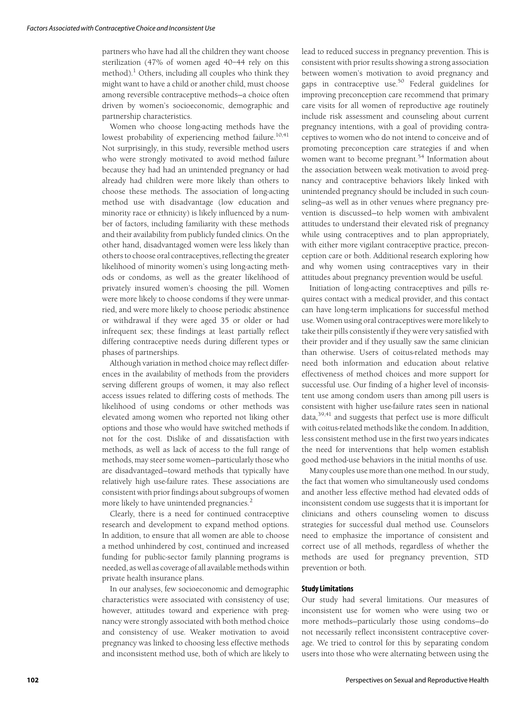partners who have had all the children they want choose sterilization (47% of women aged 40–44 rely on this method).<sup>1</sup> Others, including all couples who think they might want to have a child or another child, must choose among reversible contraceptive methods—a choice often driven by women's socioeconomic, demographic and partnership characteristics.

Women who choose long-acting methods have the lowest probability of experiencing method failure.<sup>10,41</sup> Not surprisingly, in this study, reversible method users who were strongly motivated to avoid method failure because they had had an unintended pregnancy or had already had children were more likely than others to choose these methods. The association of long-acting method use with disadvantage (low education and minority race or ethnicity) is likely influenced by a number of factors, including familiarity with these methods and their availability from publicly funded clinics. On the other hand, disadvantaged women were less likely than others to choose oral contraceptives, reflecting the greater likelihood of minority women's using long-acting methods or condoms, as well as the greater likelihood of privately insured women's choosing the pill. Women were more likely to choose condoms if they were unmarried, and were more likely to choose periodic abstinence or withdrawal if they were aged 35 or older or had infrequent sex; these findings at least partially reflect differing contraceptive needs during different types or phases of partnerships.

Although variation in method choice may reflect differences in the availability of methods from the providers serving different groups of women, it may also reflect access issues related to differing costs of methods. The likelihood of using condoms or other methods was elevated among women who reported not liking other options and those who would have switched methods if not for the cost. Dislike of and dissatisfaction with methods, as well as lack of access to the full range of methods, may steer some women—particularly those who are disadvantaged—toward methods that typically have relatively high use-failure rates. These associations are consistent with prior findings about subgroups of women more likely to have unintended pregnancies.<sup>2</sup>

Clearly, there is a need for continued contraceptive research and development to expand method options. In addition, to ensure that all women are able to choose a method unhindered by cost, continued and increased funding for public-sector family planning programs is needed, as well as coverage of all available methods within private health insurance plans.

In our analyses, few socioeconomic and demographic characteristics were associated with consistency of use; however, attitudes toward and experience with pregnancy were strongly associated with both method choice and consistency of use. Weaker motivation to avoid pregnancy was linked to choosing less effective methods and inconsistent method use, both of which are likely to lead to reduced success in pregnancy prevention. This is consistent with prior results showing a strong association between women's motivation to avoid pregnancy and gaps in contraceptive use.<sup>50</sup> Federal guidelines for improving preconception care recommend that primary care visits for all women of reproductive age routinely include risk assessment and counseling about current pregnancy intentions, with a goal of providing contraceptives to women who do not intend to conceive and of promoting preconception care strategies if and when women want to become pregnant.<sup>54</sup> Information about the association between weak motivation to avoid pregnancy and contraceptive behaviors likely linked with unintended pregnancy should be included in such counseling—as well as in other venues where pregnancy prevention is discussed—to help women with ambivalent attitudes to understand their elevated risk of pregnancy while using contraceptives and to plan appropriately, with either more vigilant contraceptive practice, preconception care or both. Additional research exploring how and why women using contraceptives vary in their attitudes about pregnancy prevention would be useful.

Initiation of long-acting contraceptives and pills requires contact with a medical provider, and this contact can have long-term implications for successful method use. Women using oral contraceptives were more likely to take their pills consistently if they were very satisfied with their provider and if they usually saw the same clinician than otherwise. Users of coitus-related methods may need both information and education about relative effectiveness of method choices and more support for successful use. Our finding of a higher level of inconsistent use among condom users than among pill users is consistent with higher use-failure rates seen in national data,<sup>39,41</sup> and suggests that perfect use is more difficult with coitus-related methods like the condom. In addition, less consistent method use in the first two years indicates the need for interventions that help women establish good method-use behaviors in the initial months of use.

Many couples use more than one method. In our study, the fact that women who simultaneously used condoms and another less effective method had elevated odds of inconsistent condom use suggests that it is important for clinicians and others counseling women to discuss strategies for successful dual method use. Counselors need to emphasize the importance of consistent and correct use of all methods, regardless of whether the methods are used for pregnancy prevention, STD prevention or both.

#### Study Limitations

Our study had several limitations. Our measures of inconsistent use for women who were using two or more methods—particularly those using condoms—do not necessarily reflect inconsistent contraceptive coverage. We tried to control for this by separating condom users into those who were alternating between using the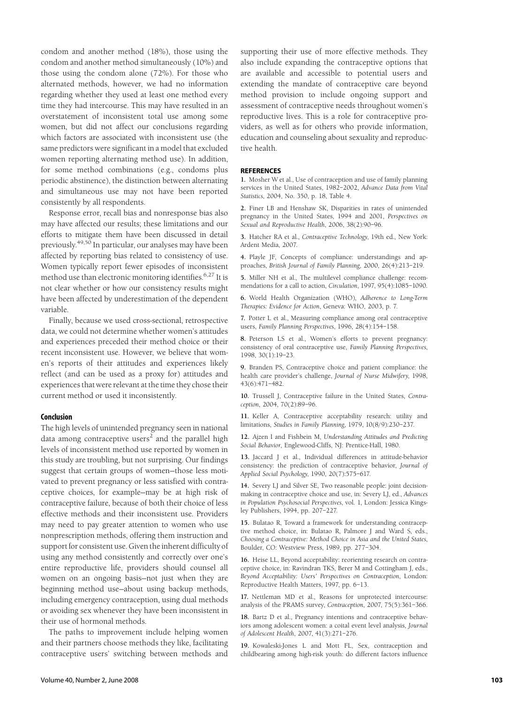condom and another method (18%), those using the condom and another method simultaneously (10%) and those using the condom alone (72%). For those who alternated methods, however, we had no information regarding whether they used at least one method every time they had intercourse. This may have resulted in an overstatement of inconsistent total use among some women, but did not affect our conclusions regarding which factors are associated with inconsistent use (the same predictors were significant in a model that excluded women reporting alternating method use). In addition, for some method combinations (e.g., condoms plus periodic abstinence), the distinction between alternating and simultaneous use may not have been reported consistently by all respondents.

Response error, recall bias and nonresponse bias also may have affected our results; these limitations and our efforts to mitigate them have been discussed in detail previously.49,50 In particular, our analyses may have been affected by reporting bias related to consistency of use. Women typically report fewer episodes of inconsistent method use than electronic monitoring identifies.<sup>6,27</sup> It is not clear whether or how our consistency results might have been affected by underestimation of the dependent variable.

Finally, because we used cross-sectional, retrospective data, we could not determine whether women's attitudes and experiences preceded their method choice or their recent inconsistent use. However, we believe that women's reports of their attitudes and experiences likely reflect (and can be used as a proxy for) attitudes and experiences that were relevant at the time they chose their current method or used it inconsistently.

## Conclusion

The high levels of unintended pregnancy seen in national data among contraceptive users<sup>2</sup> and the parallel high levels of inconsistent method use reported by women in this study are troubling, but not surprising. Our findings suggest that certain groups of women—those less motivated to prevent pregnancy or less satisfied with contraceptive choices, for example—may be at high risk of contraceptive failure, because of both their choice of less effective methods and their inconsistent use. Providers may need to pay greater attention to women who use nonprescription methods, offering them instruction and support for consistent use. Given the inherent difficulty of using any method consistently and correctly over one's entire reproductive life, providers should counsel all women on an ongoing basis—not just when they are beginning method use—about using backup methods, including emergency contraception, using dual methods or avoiding sex whenever they have been inconsistent in their use of hormonal methods.

The paths to improvement include helping women and their partners choose methods they like, facilitating contraceptive users' switching between methods and

supporting their use of more effective methods. They also include expanding the contraceptive options that are available and accessible to potential users and extending the mandate of contraceptive care beyond method provision to include ongoing support and assessment of contraceptive needs throughout women's reproductive lives. This is a role for contraceptive providers, as well as for others who provide information, education and counseling about sexuality and reproductive health.

#### **REFERENCES**

1. Mosher W et al., Use of contraception and use of family planning services in the United States, 1982–2002, Advance Data from Vital Statistics, 2004, No. 350, p. 18, Table 4.

2. Finer LB and Henshaw SK, Disparities in rates of unintended pregnancy in the United States, 1994 and 2001, Perspectives on Sexual and Reproductive Health, 2006, 38(2):90–96.

3. Hatcher RA et al., Contraceptive Technology, 19th ed., New York: Ardent Media, 2007.

4. Playle JF, Concepts of compliance: understandings and approaches, British Journal of Family Planning, 2000, 26(4):213–219.

5. Miller NH et al., The multilevel compliance challenge: recommendations for a call to action, Circulation, 1997, 95(4):1085–1090.

6. World Health Organization (WHO), Adherence to Long-Term Therapies: Evidence for Action, Geneva: WHO, 2003, p. 7.

7. Potter L et al., Measuring compliance among oral contraceptive users, Family Planning Perspectives, 1996, 28(4):154–158.

8. Peterson LS et al., Women's efforts to prevent pregnancy: consistency of oral contraceptive use, Family Planning Perspectives, 1998, 30(1):19–23.

9. Branden PS, Contraceptive choice and patient compliance: the health care provider's challenge, Journal of Nurse Midwifery, 1998, 43(6):471–482.

10. Trussell J, Contraceptive failure in the United States, Contraception, 2004, 70(2):89–96.

11. Keller A, Contraceptive acceptability research: utility and limitations, Studies in Family Planning, 1979, 10(8/9):230–237.

12. Ajzen I and Fishbein M, Understanding Attitudes and Predicting Social Behavior, Englewood-Cliffs, NJ: Prentice-Hall, 1980.

13. Jaccard J et al., Individual differences in attitude-behavior consistency: the prediction of contraceptive behavior, Journal of Applied Social Psychology, 1990, 20(7):575–617.

14. Severy LJ and Silver SE, Two reasonable people: joint decisionmaking in contraceptive choice and use, in: Severy LJ, ed., Advances in Population Psychosocial Perspectives, vol. 1, London: Jessica Kingsley Publishers, 1994, pp. 207–227.

15. Bulatao R, Toward a framework for understanding contraceptive method choice, in: Bulatao R, Palmore J and Ward S, eds., Choosing a Contraceptive: Method Choice in Asia and the United States, Boulder, CO: Westview Press, 1989, pp. 277–304.

16. Heise LL, Beyond acceptability: reorienting research on contraceptive choice, in: Ravindran TKS, Berer M and Cottingham J, eds., Beyond Acceptability: Users' Perspectives on Contraception, London: Reproductive Health Matters, 1997, pp. 6–13.

17. Nettleman MD et al., Reasons for unprotected intercourse: analysis of the PRAMS survey, Contraception, 2007, 75(5):361–366.

18. Bartz D et al., Pregnancy intentions and contraceptive behaviors among adolescent women: a coital event level analysis, Journal of Adolescent Health, 2007, 41(3):271–276.

19. Kowaleski-Jones L and Mott FL, Sex, contraception and childbearing among high-risk youth: do different factors influence